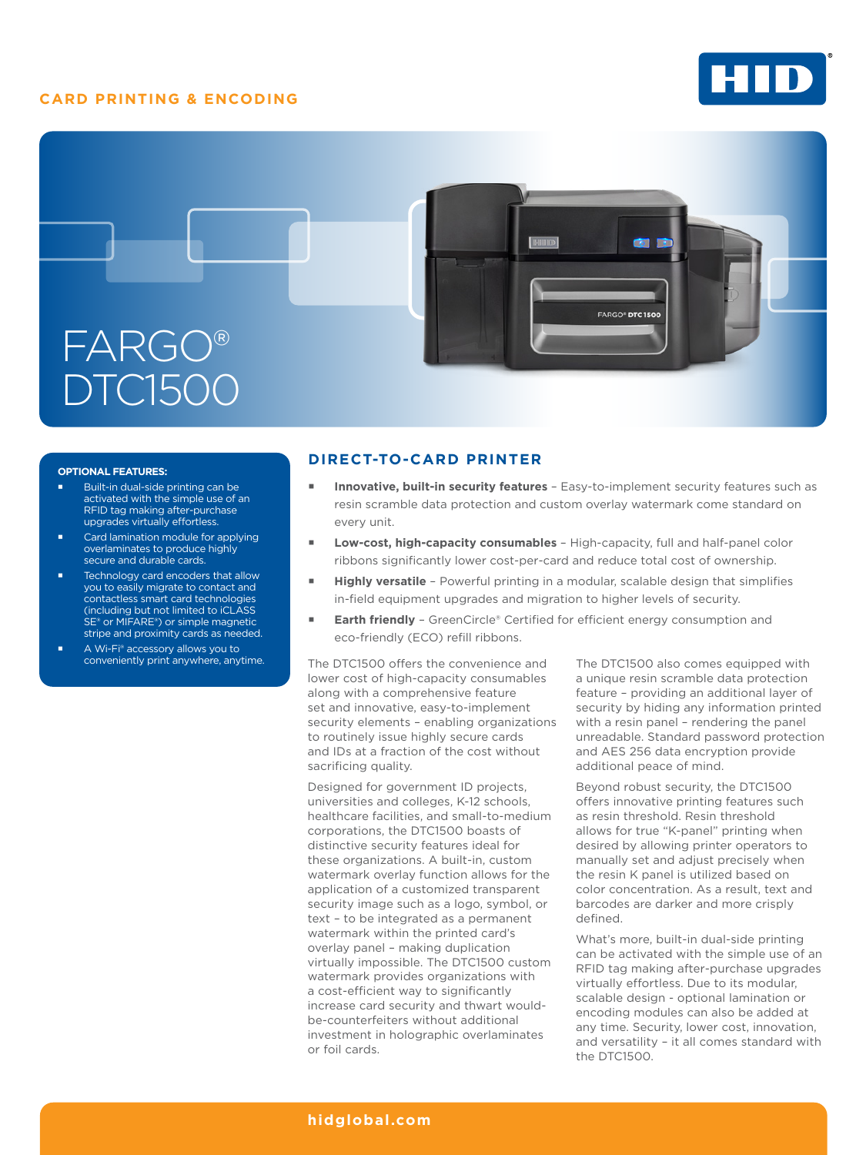# **CARD PRINTING & ENCODING**





### **OPTIONAL FEATURES:**

- Built-in dual-side printing can be activated with the simple use of an RFID tag making after-purchase upgrades virtually effortless.
- Card lamination module for applying overlaminates to produce highly secure and durable cards.
- Technology card encoders that allow you to easily migrate to contact and contactless smart card technologies (including but not limited to iCLASS SE® or MIFARE®) or simple magnetic stripe and proximity cards as needed.
- A Wi-Fi® accessory allows you to conveniently print anywhere, anytime.

## **DIRECT-TO-CARD PRINTER**

- **Innovative, built-in security features**  Easy-to-implement security features such as resin scramble data protection and custom overlay watermark come standard on every unit.
- **Low-cost, high-capacity consumables**  High-capacity, full and half-panel color ribbons significantly lower cost-per-card and reduce total cost of ownership.
- **Highly versatile**  Powerful printing in a modular, scalable design that simplifies in-field equipment upgrades and migration to higher levels of security.
- **Earth friendly**  GreenCircle® Certified for efficient energy consumption and eco-friendly (ECO) refill ribbons.

The DTC1500 offers the convenience and lower cost of high-capacity consumables along with a comprehensive feature set and innovative, easy-to-implement security elements – enabling organizations to routinely issue highly secure cards and IDs at a fraction of the cost without sacrificing quality.

Designed for government ID projects, universities and colleges, K-12 schools, healthcare facilities, and small-to-medium corporations, the DTC1500 boasts of distinctive security features ideal for these organizations. A built-in, custom watermark overlay function allows for the application of a customized transparent security image such as a logo, symbol, or text – to be integrated as a permanent watermark within the printed card's overlay panel – making duplication virtually impossible. The DTC1500 custom watermark provides organizations with a cost-efficient way to significantly increase card security and thwart wouldbe-counterfeiters without additional investment in holographic overlaminates or foil cards.

The DTC1500 also comes equipped with a unique resin scramble data protection feature – providing an additional layer of security by hiding any information printed with a resin panel – rendering the panel unreadable. Standard password protection and AES 256 data encryption provide additional peace of mind.

Beyond robust security, the DTC1500 offers innovative printing features such as resin threshold. Resin threshold allows for true "K-panel" printing when desired by allowing printer operators to manually set and adjust precisely when the resin K panel is utilized based on color concentration. As a result, text and barcodes are darker and more crisply defined.

What's more, built-in dual-side printing can be activated with the simple use of an RFID tag making after-purchase upgrades virtually effortless. Due to its modular, scalable design - optional lamination or encoding modules can also be added at any time. Security, lower cost, innovation, and versatility – it all comes standard with the DTC1500.

### **[hidglobal.com](http://www.hidglobal.com)**